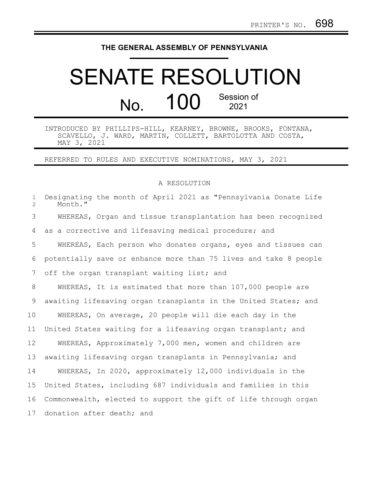## **THE GENERAL ASSEMBLY OF PENNSYLVANIA**

## SENATE RESOLUTION No. 100 Session of 2021

INTRODUCED BY PHILLIPS-HILL, KEARNEY, BROWNE, BROOKS, FONTANA, SCAVELLO, J. WARD, MARTIN, COLLETT, BARTOLOTTA AND COSTA, MAY 3, 2021

REFERRED TO RULES AND EXECUTIVE NOMINATIONS, MAY 3, 2021

## A RESOLUTION

| $\mathbf{1}$<br>$\overline{2}$ | Designating the month of April 2021 as "Pennsylvania Donate Life<br>Month." |
|--------------------------------|-----------------------------------------------------------------------------|
| 3                              | WHEREAS, Organ and tissue transplantation has been recognized               |
| 4                              | as a corrective and lifesaving medical procedure; and                       |
| 5                              | WHEREAS, Each person who donates organs, eyes and tissues can               |
| 6                              | potentially save or enhance more than 75 lives and take 8 people            |
| 7                              | off the organ transplant waiting list; and                                  |
| 8                              | WHEREAS, It is estimated that more than 107,000 people are                  |
| 9                              | awaiting lifesaving organ transplants in the United States; and             |
| 10                             | WHEREAS, On average, 20 people will die each day in the                     |
| 11                             | United States waiting for a lifesaving organ transplant; and                |
| 12                             | WHEREAS, Approximately 7,000 men, women and children are                    |
| 13                             | awaiting lifesaving organ transplants in Pennsylvania; and                  |
| 14                             | WHEREAS, In 2020, approximately 12,000 individuals in the                   |
| 15                             | United States, including 687 individuals and families in this               |
| 16                             | Commonwealth, elected to support the gift of life through organ             |
| 17                             | donation after death; and                                                   |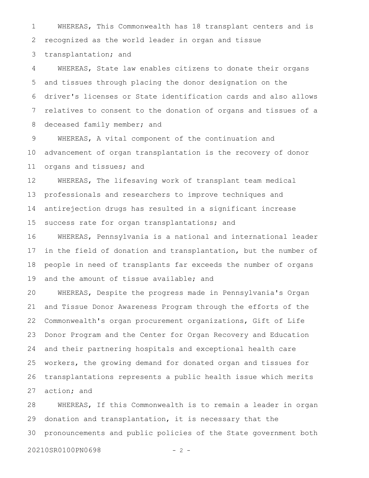WHEREAS, This Commonwealth has 18 transplant centers and is recognized as the world leader in organ and tissue transplantation; and 1 2 3

WHEREAS, State law enables citizens to donate their organs and tissues through placing the donor designation on the driver's licenses or State identification cards and also allows relatives to consent to the donation of organs and tissues of a deceased family member; and 4 5 6 7 8

WHEREAS, A vital component of the continuation and advancement of organ transplantation is the recovery of donor organs and tissues; and 9 10 11

WHEREAS, The lifesaving work of transplant team medical professionals and researchers to improve techniques and antirejection drugs has resulted in a significant increase success rate for organ transplantations; and 12 13 14 15

WHEREAS, Pennsylvania is a national and international leader in the field of donation and transplantation, but the number of people in need of transplants far exceeds the number of organs and the amount of tissue available; and 16 17 18 19

WHEREAS, Despite the progress made in Pennsylvania's Organ and Tissue Donor Awareness Program through the efforts of the Commonwealth's organ procurement organizations, Gift of Life Donor Program and the Center for Organ Recovery and Education and their partnering hospitals and exceptional health care workers, the growing demand for donated organ and tissues for transplantations represents a public health issue which merits action; and 20 21 22 23 24 25 26 27

WHEREAS, If this Commonwealth is to remain a leader in organ donation and transplantation, it is necessary that the pronouncements and public policies of the State government both 28 29 30

20210SR0100PN0698 - 2 -